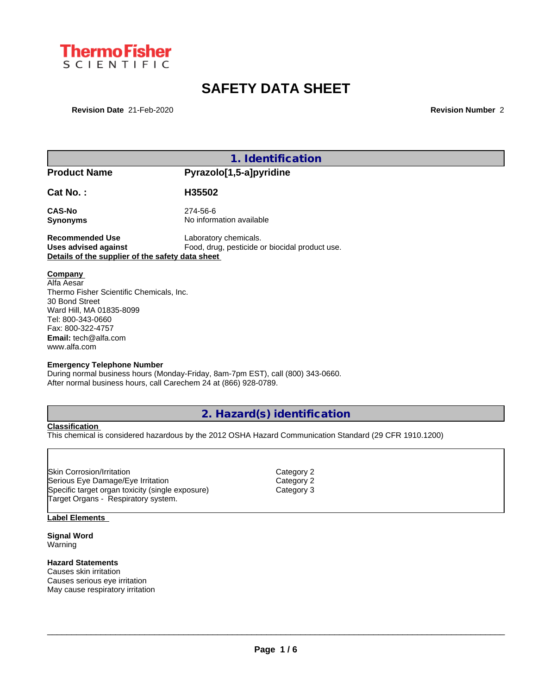

# **SAFETY DATA SHEET**

**Revision Date** 21-Feb-2020 **Revision Number** 2

|                                                  | 1. Identification                                                               |  |
|--------------------------------------------------|---------------------------------------------------------------------------------|--|
| <b>Product Name</b>                              | Pyrazolo[1,5-a]pyridine                                                         |  |
| Cat No.:                                         | H35502                                                                          |  |
| <b>CAS-No</b>                                    | 274-56-6                                                                        |  |
| <b>Synonyms</b>                                  | No information available                                                        |  |
| <b>Recommended Use</b>                           | Laboratory chemicals.                                                           |  |
| <b>Uses advised against</b>                      | Food, drug, pesticide or biocidal product use.                                  |  |
| Details of the supplier of the safety data sheet |                                                                                 |  |
|                                                  |                                                                                 |  |
| Company                                          |                                                                                 |  |
| Alfa Aesar                                       |                                                                                 |  |
| Thermo Fisher Scientific Chemicals, Inc.         |                                                                                 |  |
| 30 Bond Street                                   |                                                                                 |  |
| Ward Hill, MA 01835-8099                         |                                                                                 |  |
| Tel: 800-343-0660<br>Fax: 800-322-4757           |                                                                                 |  |
| <b>Email:</b> tech@alfa.com                      |                                                                                 |  |
| www.alfa.com                                     |                                                                                 |  |
|                                                  |                                                                                 |  |
| <b>Emergency Telephone Number</b>                |                                                                                 |  |
|                                                  | During normal business hours (Monday-Friday, 8am-7pm EST), call (800) 343-0660. |  |
|                                                  | After normal business hours, call Carechem 24 at (866) 928-0789.                |  |
|                                                  |                                                                                 |  |
|                                                  |                                                                                 |  |

## **2. Hazard(s) identification**

**Classification**

This chemical is considered hazardous by the 2012 OSHA Hazard Communication Standard (29 CFR 1910.1200)

Skin Corrosion/Irritation community control Category 2<br>
Serious Eye Damage/Eye Irritation community category 2 Serious Eye Damage/Eye Irritation Category 2 Specific target organ toxicity (single exposure) Target Organs - Respiratory system.

#### **Label Elements**

**Signal Word** Warning

### **Hazard Statements**

Causes skin irritation Causes serious eye irritation May cause respiratory irritation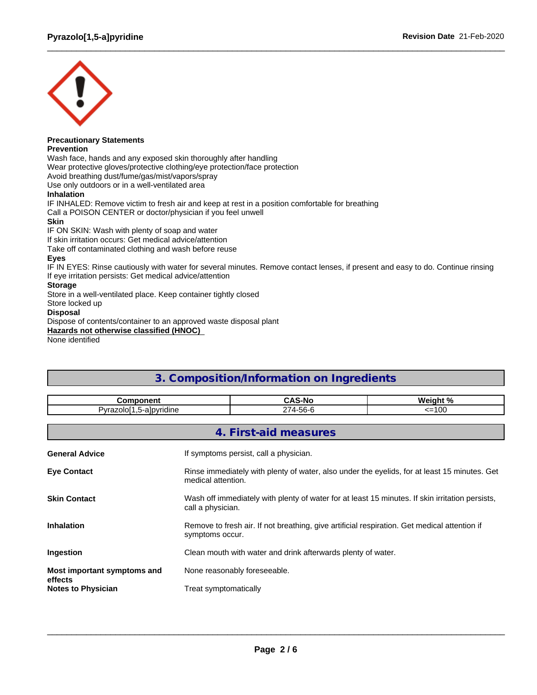

#### **Precautionary Statements Prevention**

Wash face, hands and any exposed skin thoroughly after handling

Wear protective gloves/protective clothing/eye protection/face protection

Avoid breathing dust/fume/gas/mist/vapors/spray

Use only outdoors or in a well-ventilated area

#### **Inhalation**

IF INHALED: Remove victim to fresh air and keep at rest in a position comfortable for breathing Call a POISON CENTER or doctor/physician if you feel unwell

#### **Skin**

IF ON SKIN: Wash with plenty of soap and water

If skin irritation occurs: Get medical advice/attention

Take off contaminated clothing and wash before reuse

#### **Eyes**

IF IN EYES: Rinse cautiously with water for several minutes. Remove contact lenses, if present and easy to do. Continue rinsing If eye irritation persists: Get medical advice/attention

#### **Storage**

Store in a well-ventilated place. Keep container tightly closed

Store locked up

#### **Disposal**

Dispose of contents/container to an approved waste disposal plant

**Hazards not otherwise classified (HNOC)**

None identified

## **3. Composition/Information on Ingredients**

| <b>Component</b>                       |                                                                                                                      | <b>CAS-No</b>                                                                                                      | Weight % |  |  |  |  |  |
|----------------------------------------|----------------------------------------------------------------------------------------------------------------------|--------------------------------------------------------------------------------------------------------------------|----------|--|--|--|--|--|
| Pyrazolo[1,5-a]pyridine                |                                                                                                                      | 274-56-6                                                                                                           | $=100$   |  |  |  |  |  |
|                                        |                                                                                                                      |                                                                                                                    |          |  |  |  |  |  |
|                                        |                                                                                                                      | 4. First-aid measures                                                                                              |          |  |  |  |  |  |
| <b>General Advice</b>                  |                                                                                                                      | If symptoms persist, call a physician.                                                                             |          |  |  |  |  |  |
| <b>Eye Contact</b>                     |                                                                                                                      | Rinse immediately with plenty of water, also under the eyelids, for at least 15 minutes. Get<br>medical attention. |          |  |  |  |  |  |
| <b>Skin Contact</b>                    | Wash off immediately with plenty of water for at least 15 minutes. If skin irritation persists,<br>call a physician. |                                                                                                                    |          |  |  |  |  |  |
| <b>Inhalation</b>                      | Remove to fresh air. If not breathing, give artificial respiration. Get medical attention if<br>symptoms occur.      |                                                                                                                    |          |  |  |  |  |  |
| Ingestion                              | Clean mouth with water and drink afterwards plenty of water.                                                         |                                                                                                                    |          |  |  |  |  |  |
| Most important symptoms and<br>effects | None reasonably foreseeable.                                                                                         |                                                                                                                    |          |  |  |  |  |  |
| <b>Notes to Physician</b>              | Treat symptomatically                                                                                                |                                                                                                                    |          |  |  |  |  |  |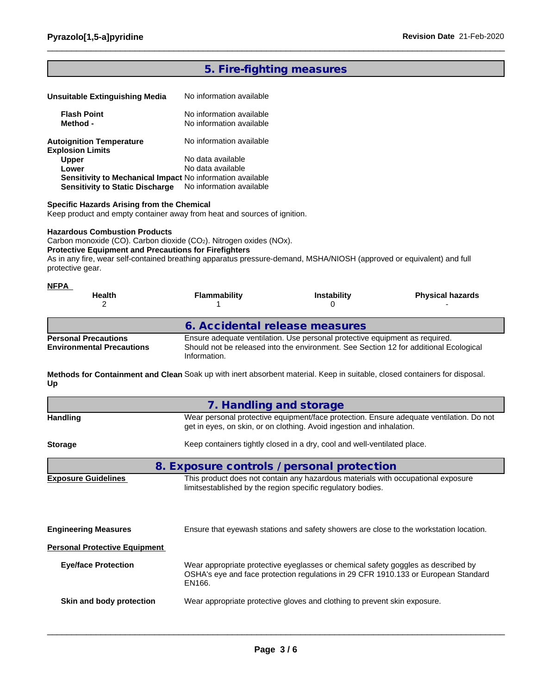## **5. Fire-fighting measures**

| Unsuitable Extinguishing Media                            | No information available |
|-----------------------------------------------------------|--------------------------|
| <b>Flash Point</b>                                        | No information available |
| Method -                                                  | No information available |
| <b>Autoignition Temperature</b>                           | No information available |
| <b>Explosion Limits</b>                                   |                          |
| <b>Upper</b>                                              | No data available        |
| Lower                                                     | No data available        |
| Sensitivity to Mechanical Impact No information available |                          |
| <b>Sensitivity to Static Discharge</b>                    | No information available |

#### **Specific Hazards Arising from the Chemical**

Keep product and empty container away from heat and sources of ignition.

#### **Hazardous Combustion Products**

Carbon monoxide (CO). Carbon dioxide (CO2). Nitrogen oxides (NOx).

#### **Protective Equipment and Precautions for Firefighters**

As in any fire, wear self-contained breathing apparatus pressure-demand, MSHA/NIOSH (approved or equivalent) and full protective gear.

| <b>NFPA</b><br><b>Health</b>                                    | <b>Flammability</b>            | <b>Instability</b>                                                                                                                                                   | <b>Physical hazards</b> |
|-----------------------------------------------------------------|--------------------------------|----------------------------------------------------------------------------------------------------------------------------------------------------------------------|-------------------------|
|                                                                 | 6. Accidental release measures |                                                                                                                                                                      |                         |
| <b>Personal Precautions</b><br><b>Environmental Precautions</b> | Information.                   | Ensure adequate ventilation. Use personal protective equipment as required.<br>Should not be released into the environment. See Section 12 for additional Ecological |                         |

**Methods for Containment and Clean** Soak up with inert absorbent material. Keep in suitable, closed containers for disposal. **Up**

|                                      | 7. Handling and storage                                                                                                                                                           |  |  |  |  |  |  |
|--------------------------------------|-----------------------------------------------------------------------------------------------------------------------------------------------------------------------------------|--|--|--|--|--|--|
| <b>Handling</b>                      | Wear personal protective equipment/face protection. Ensure adequate ventilation. Do not<br>get in eyes, on skin, or on clothing. Avoid ingestion and inhalation.                  |  |  |  |  |  |  |
| <b>Storage</b>                       | Keep containers tightly closed in a dry, cool and well-ventilated place.                                                                                                          |  |  |  |  |  |  |
|                                      | 8. Exposure controls / personal protection                                                                                                                                        |  |  |  |  |  |  |
| <b>Exposure Guidelines</b>           | This product does not contain any hazardous materials with occupational exposure<br>limitsestablished by the region specific regulatory bodies.                                   |  |  |  |  |  |  |
| <b>Engineering Measures</b>          | Ensure that eyewash stations and safety showers are close to the workstation location.                                                                                            |  |  |  |  |  |  |
| <b>Personal Protective Equipment</b> |                                                                                                                                                                                   |  |  |  |  |  |  |
| <b>Eye/face Protection</b>           | Wear appropriate protective eyeglasses or chemical safety goggles as described by<br>OSHA's eye and face protection regulations in 29 CFR 1910.133 or European Standard<br>EN166. |  |  |  |  |  |  |
| Skin and body protection             | Wear appropriate protective gloves and clothing to prevent skin exposure.                                                                                                         |  |  |  |  |  |  |
|                                      |                                                                                                                                                                                   |  |  |  |  |  |  |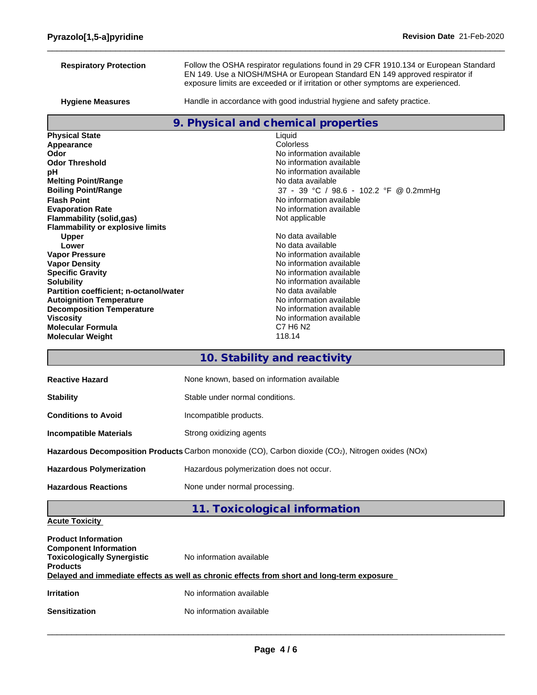| <b>Respiratory Protection</b>           | Follow the OSHA respirator regulations found in 29 CFR 1910.134 or European Standard<br>EN 149. Use a NIOSH/MSHA or European Standard EN 149 approved respirator if |  |  |  |  |  |  |
|-----------------------------------------|---------------------------------------------------------------------------------------------------------------------------------------------------------------------|--|--|--|--|--|--|
|                                         | exposure limits are exceeded or if irritation or other symptoms are experienced.                                                                                    |  |  |  |  |  |  |
| <b>Hygiene Measures</b>                 | Handle in accordance with good industrial hygiene and safety practice.                                                                                              |  |  |  |  |  |  |
|                                         | 9. Physical and chemical properties                                                                                                                                 |  |  |  |  |  |  |
| <b>Physical State</b>                   | Liquid                                                                                                                                                              |  |  |  |  |  |  |
| Appearance                              | Colorless                                                                                                                                                           |  |  |  |  |  |  |
| Odor                                    | No information available                                                                                                                                            |  |  |  |  |  |  |
| <b>Odor Threshold</b>                   | No information available                                                                                                                                            |  |  |  |  |  |  |
| рH                                      | No information available                                                                                                                                            |  |  |  |  |  |  |
| <b>Melting Point/Range</b>              | No data available                                                                                                                                                   |  |  |  |  |  |  |
| <b>Boiling Point/Range</b>              | 37 - 39 °C / 98.6 - 102.2 °F @ 0.2mmHg                                                                                                                              |  |  |  |  |  |  |
| <b>Flash Point</b>                      | No information available                                                                                                                                            |  |  |  |  |  |  |
| <b>Evaporation Rate</b>                 | No information available                                                                                                                                            |  |  |  |  |  |  |
| <b>Flammability (solid,gas)</b>         | Not applicable                                                                                                                                                      |  |  |  |  |  |  |
| <b>Flammability or explosive limits</b> |                                                                                                                                                                     |  |  |  |  |  |  |
| <b>Upper</b>                            | No data available                                                                                                                                                   |  |  |  |  |  |  |
| Lower                                   | No data available                                                                                                                                                   |  |  |  |  |  |  |
| <b>Vapor Pressure</b>                   | No information available                                                                                                                                            |  |  |  |  |  |  |
| <b>Vapor Density</b>                    | No information available                                                                                                                                            |  |  |  |  |  |  |
| <b>Specific Gravity</b>                 | No information available                                                                                                                                            |  |  |  |  |  |  |
| <b>Solubility</b>                       | No information available                                                                                                                                            |  |  |  |  |  |  |
| Partition coefficient; n-octanol/water  | No data available                                                                                                                                                   |  |  |  |  |  |  |
| <b>Autoignition Temperature</b>         | No information available                                                                                                                                            |  |  |  |  |  |  |
| <b>Decomposition Temperature</b>        | No information available                                                                                                                                            |  |  |  |  |  |  |
| <b>Viscosity</b>                        | No information available                                                                                                                                            |  |  |  |  |  |  |
| <b>Molecular Formula</b>                | C7 H <sub>6</sub> N <sub>2</sub>                                                                                                                                    |  |  |  |  |  |  |
| <b>Molecular Weight</b>                 | 118.14                                                                                                                                                              |  |  |  |  |  |  |
|                                         | 10. Stability and reactivity                                                                                                                                        |  |  |  |  |  |  |
| <b>Reactive Hazard</b>                  | None known, based on information available                                                                                                                          |  |  |  |  |  |  |
| <b>Stability</b>                        | Stable under normal conditions.                                                                                                                                     |  |  |  |  |  |  |

| <b>Conditions to Avoid</b> | Incompatible products. |
|----------------------------|------------------------|
|                            |                        |

**Incompatible Materials Strong oxidizing agents** 

**Hazardous Decomposition Products** Carbon monoxide (CO), Carbon dioxide (CO2), Nitrogen oxides (NOx)

**Hazardous Polymerization** Hazardous polymerization does not occur.

Hazardous Reactions **None under normal processing**.

## **11. Toxicological information**

## **Acute Toxicity**

| <b>Product Information</b><br><b>Component Information</b><br><b>Toxicologically Synergistic</b><br><b>Products</b> | No information available<br>Delayed and immediate effects as well as chronic effects from short and long-term exposure |
|---------------------------------------------------------------------------------------------------------------------|------------------------------------------------------------------------------------------------------------------------|
| <b>Irritation</b>                                                                                                   | No information available                                                                                               |
| <b>Sensitization</b>                                                                                                | No information available                                                                                               |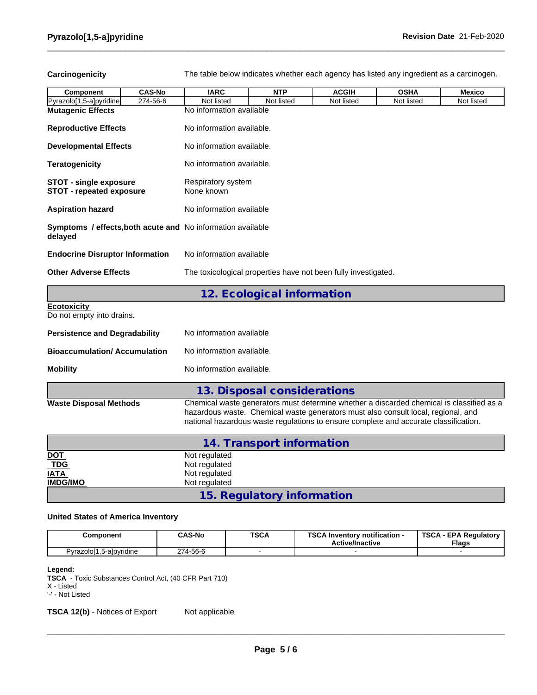Carcinogenicity The table below indicates whether each agency has listed any ingredient as a carcinogen.

| Component                                                              | <b>CAS-No</b> | <b>IARC</b>                      | <b>NTP</b>                                                     | <b>ACGIH</b> | <b>OSHA</b>                                                                                                                                                                                                                                                           | <b>Mexico</b> |  |  |  |  |  |
|------------------------------------------------------------------------|---------------|----------------------------------|----------------------------------------------------------------|--------------|-----------------------------------------------------------------------------------------------------------------------------------------------------------------------------------------------------------------------------------------------------------------------|---------------|--|--|--|--|--|
| Pyrazolo[1,5-a]pyridine                                                | 274-56-6      | Not listed                       | Not listed                                                     | Not listed   | Not listed                                                                                                                                                                                                                                                            | Not listed    |  |  |  |  |  |
| <b>Mutagenic Effects</b>                                               |               | No information available         |                                                                |              |                                                                                                                                                                                                                                                                       |               |  |  |  |  |  |
| <b>Reproductive Effects</b>                                            |               | No information available.        |                                                                |              |                                                                                                                                                                                                                                                                       |               |  |  |  |  |  |
| <b>Developmental Effects</b>                                           |               | No information available.        |                                                                |              |                                                                                                                                                                                                                                                                       |               |  |  |  |  |  |
| <b>Teratogenicity</b>                                                  |               | No information available.        |                                                                |              |                                                                                                                                                                                                                                                                       |               |  |  |  |  |  |
| <b>STOT - single exposure</b><br><b>STOT - repeated exposure</b>       |               | Respiratory system<br>None known |                                                                |              |                                                                                                                                                                                                                                                                       |               |  |  |  |  |  |
| <b>Aspiration hazard</b>                                               |               | No information available         |                                                                |              |                                                                                                                                                                                                                                                                       |               |  |  |  |  |  |
| Symptoms / effects, both acute and No information available<br>delayed |               |                                  |                                                                |              |                                                                                                                                                                                                                                                                       |               |  |  |  |  |  |
| <b>Endocrine Disruptor Information</b>                                 |               |                                  | No information available                                       |              |                                                                                                                                                                                                                                                                       |               |  |  |  |  |  |
| <b>Other Adverse Effects</b>                                           |               |                                  | The toxicological properties have not been fully investigated. |              |                                                                                                                                                                                                                                                                       |               |  |  |  |  |  |
|                                                                        |               |                                  | 12. Ecological information                                     |              |                                                                                                                                                                                                                                                                       |               |  |  |  |  |  |
| <b>Ecotoxicity</b><br>Do not empty into drains.                        |               |                                  |                                                                |              |                                                                                                                                                                                                                                                                       |               |  |  |  |  |  |
| <b>Persistence and Degradability</b>                                   |               | No information available         |                                                                |              |                                                                                                                                                                                                                                                                       |               |  |  |  |  |  |
| <b>Bioaccumulation/Accumulation</b>                                    |               | No information available.        |                                                                |              |                                                                                                                                                                                                                                                                       |               |  |  |  |  |  |
| <b>Mobility</b>                                                        |               | No information available.        |                                                                |              |                                                                                                                                                                                                                                                                       |               |  |  |  |  |  |
|                                                                        |               |                                  | 13. Disposal considerations                                    |              |                                                                                                                                                                                                                                                                       |               |  |  |  |  |  |
| <b>Waste Disposal Methods</b>                                          |               |                                  |                                                                |              | Chemical waste generators must determine whether a discarded chemical is classified as a<br>hazardous waste. Chemical waste generators must also consult local, regional, and<br>national hazardous waste regulations to ensure complete and accurate classification. |               |  |  |  |  |  |
|                                                                        |               |                                  | 14. Transport information                                      |              |                                                                                                                                                                                                                                                                       |               |  |  |  |  |  |

|                          | 14. Transport information  |  |
|--------------------------|----------------------------|--|
| <u>DOT</u>               | Not regulated              |  |
| $\underline{\text{TDG}}$ | Not regulated              |  |
| <b>IATA</b>              | Not regulated              |  |
| <b>IMDG/IMO</b>          | Not regulated              |  |
|                          | 15. Regulatory information |  |

### **United States of America Inventory**

| Component                                       | <b>CAS-No</b> | <b>TSCA</b><br>$ -$ | TOO AL<br>∆ Inventory notification -<br>ou/<br><b>Active/Inactive</b> | <b>TSCA</b><br>- EPA Regulatory<br><b>Flags</b> |
|-------------------------------------------------|---------------|---------------------|-----------------------------------------------------------------------|-------------------------------------------------|
| <u>י</u> γrazolo <sup>r</sup> י<br>5-alpyridine | 274-56-6      |                     |                                                                       |                                                 |

**Legend:**

**TSCA** - Toxic Substances Control Act, (40 CFR Part 710)

X - Listed

'-' - Not Listed

**TSCA 12(b)** - Notices of Export Not applicable